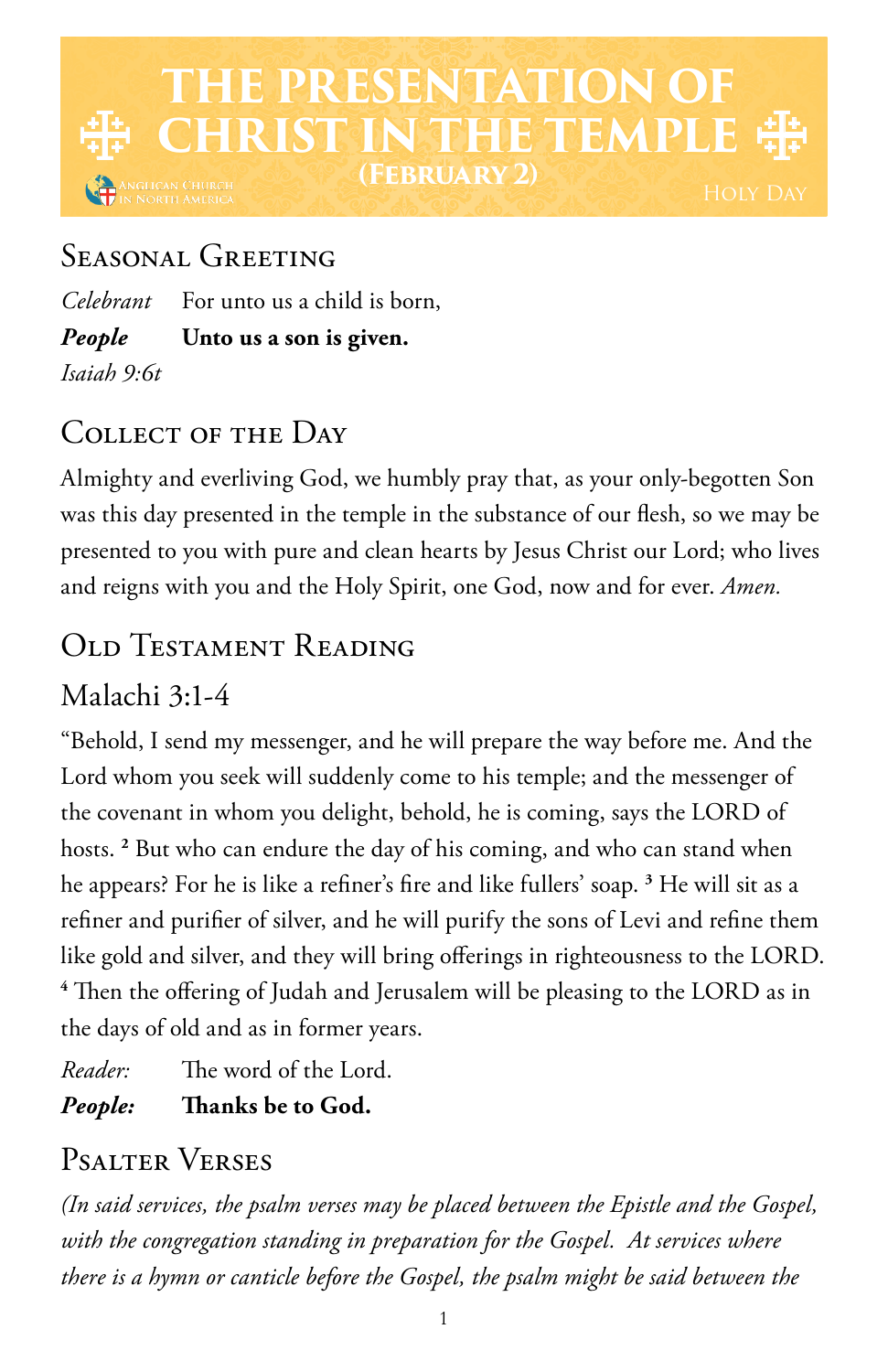# **TE PRESENTATION OF CHRIST IN THE TEMPLE (February 2)** iglican Church<br>North America

### SEASONAL GREETING

*Celebrant* For unto us a child is born, *People* **Unto us a son is given.** *Isaiah 9:6t*

## COLLECT OF THE DAY

Almighty and everliving God, we humbly pray that, as your only-begotten Son was this day presented in the temple in the substance of our flesh, so we may be presented to you with pure and clean hearts by Jesus Christ our Lord; who lives and reigns with you and the Holy Spirit, one God, now and for ever. *Amen.*

## Old Testament Reading

### Malachi 3:1-4

"Behold, I send my messenger, and he will prepare the way before me. And the Lord whom you seek will suddenly come to his temple; and the messenger of the covenant in whom you delight, behold, he is coming, says the LORD of hosts. **<sup>2</sup>** But who can endure the day of his coming, and who can stand when he appears? For he is like a refiner's fire and like fullers' soap. **<sup>3</sup>** He will sit as a refiner and purifier of silver, and he will purify the sons of Levi and refine them like gold and silver, and they will bring offerings in righteousness to the LORD. **<sup>4</sup>** Then the offering of Judah and Jerusalem will be pleasing to the LORD as in the days of old and as in former years.

*Reader:* The word of the Lord.

*People:* **Thanks be to God.** 

## Psalter Verses

*(In said services, the psalm verses may be placed between the Epistle and the Gospel, with the congregation standing in preparation for the Gospel. At services where there is a hymn or canticle before the Gospel, the psalm might be said between the*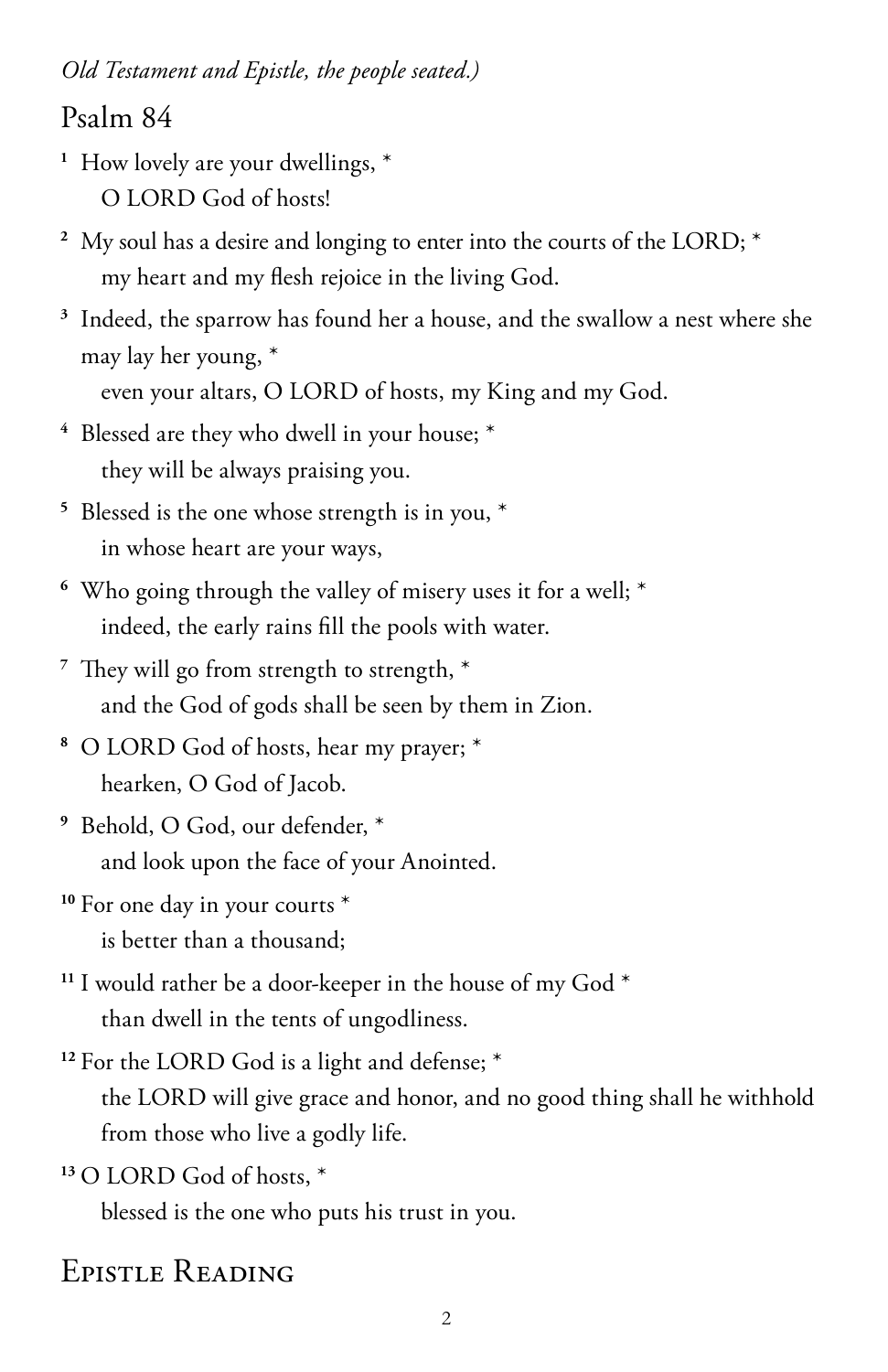*Old Testament and Epistle, the people seated.)*

#### Psalm 84

- <sup>1</sup> How lovely are your dwellings,  $*$ O LORD God of hosts!
- <sup>2</sup> My soul has a desire and longing to enter into the courts of the LORD;  $*$ my heart and my flesh rejoice in the living God.
- **<sup>3</sup>** Indeed, the sparrow has found her a house, and the swallow a nest where she may lay her young, \*

even your altars, O LORD of hosts, my King and my God.

- **<sup>4</sup>** Blessed are they who dwell in your house; \* they will be always praising you.
- **<sup>5</sup>** Blessed is the one whose strength is in you, \* in whose heart are your ways,
- **<sup>6</sup>** Who going through the valley of misery uses it for a well; \* indeed, the early rains fill the pools with water.
- **<sup>7</sup>** They will go from strength to strength, \* and the God of gods shall be seen by them in Zion.
- **<sup>8</sup>** O LORD God of hosts, hear my prayer; \* hearken, O God of Jacob.
- **<sup>9</sup>** Behold, O God, our defender, \* and look upon the face of your Anointed.
- **<sup>10</sup>** For one day in your courts \*
	- is better than a thousand;
- **<sup>11</sup>** I would rather be a door-keeper in the house of my God \* than dwell in the tents of ungodliness.
- **<sup>12</sup>** For the LORD God is a light and defense; \*
	- the LORD will give grace and honor, and no good thing shall he withhold from those who live a godly life.

**<sup>13</sup>** O LORD God of hosts, \*

blessed is the one who puts his trust in you.

### Epistle Reading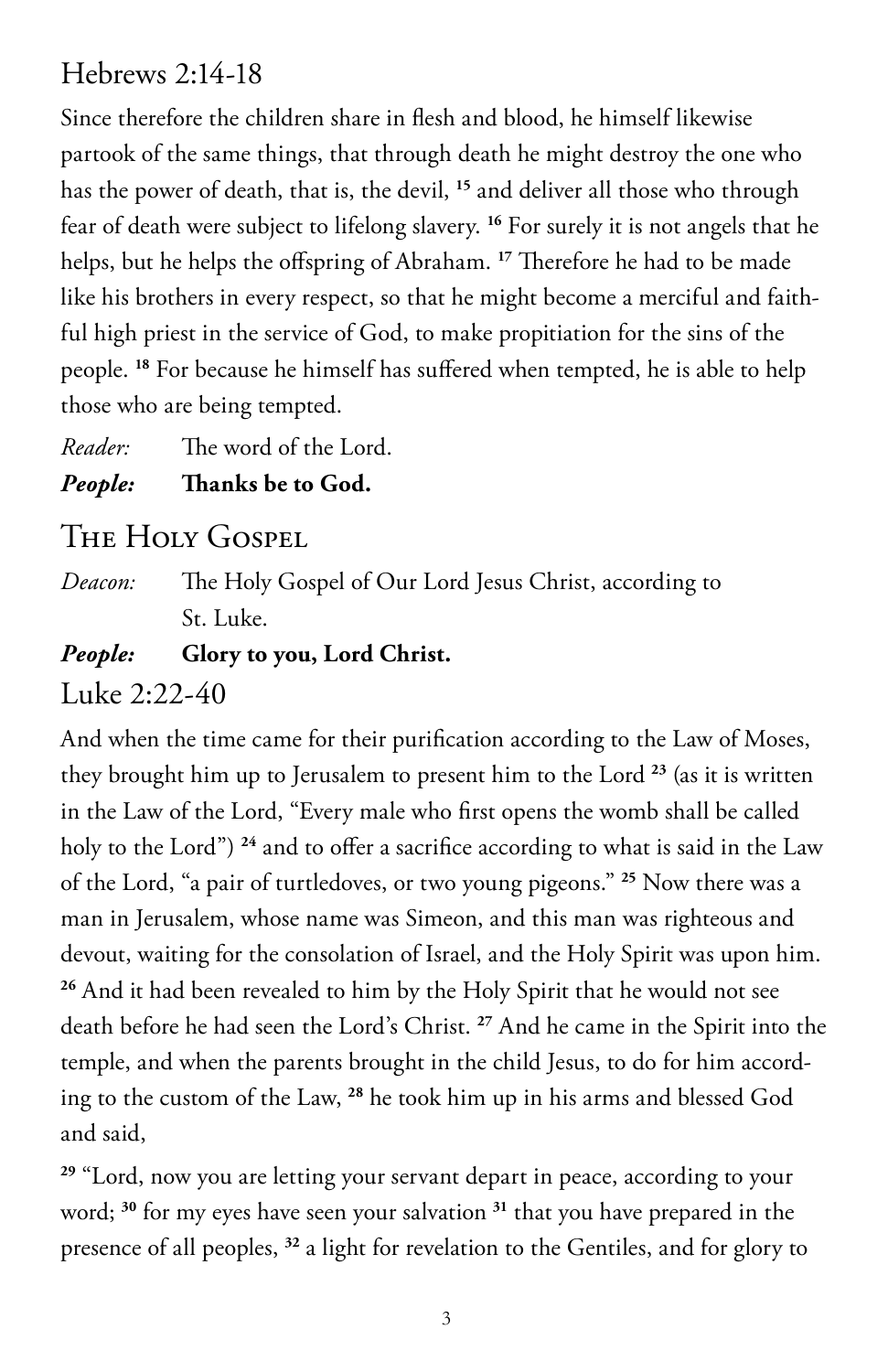### Hebrews 2:14-18

Since therefore the children share in flesh and blood, he himself likewise partook of the same things, that through death he might destroy the one who has the power of death, that is, the devil, **<sup>15</sup>** and deliver all those who through fear of death were subject to lifelong slavery. **<sup>16</sup>** For surely it is not angels that he helps, but he helps the offspring of Abraham. **<sup>17</sup>** Therefore he had to be made like his brothers in every respect, so that he might become a merciful and faithful high priest in the service of God, to make propitiation for the sins of the people. **<sup>18</sup>** For because he himself has suffered when tempted, he is able to help those who are being tempted.

*Reader:* The word of the Lord.

#### *People:* **Thanks be to God.**

### The Holy Gospel

*Deacon:* The Holy Gospel of Our Lord Jesus Christ, according to St. Luke.

#### *People:* **Glory to you, Lord Christ.**

Luke 2:22-40

And when the time came for their purification according to the Law of Moses, they brought him up to Jerusalem to present him to the Lord **<sup>23</sup>** (as it is written in the Law of the Lord, "Every male who first opens the womb shall be called holy to the Lord") **<sup>24</sup>** and to offer a sacrifice according to what is said in the Law of the Lord, "a pair of turtledoves, or two young pigeons." **<sup>25</sup>** Now there was a man in Jerusalem, whose name was Simeon, and this man was righteous and devout, waiting for the consolation of Israel, and the Holy Spirit was upon him. **<sup>26</sup>** And it had been revealed to him by the Holy Spirit that he would not see death before he had seen the Lord's Christ. **<sup>27</sup>** And he came in the Spirit into the temple, and when the parents brought in the child Jesus, to do for him according to the custom of the Law, **<sup>28</sup>** he took him up in his arms and blessed God and said,

**<sup>29</sup>** "Lord, now you are letting your servant depart in peace, according to your word; **<sup>30</sup>** for my eyes have seen your salvation **<sup>31</sup>** that you have prepared in the presence of all peoples, **32** a light for revelation to the Gentiles, and for glory to